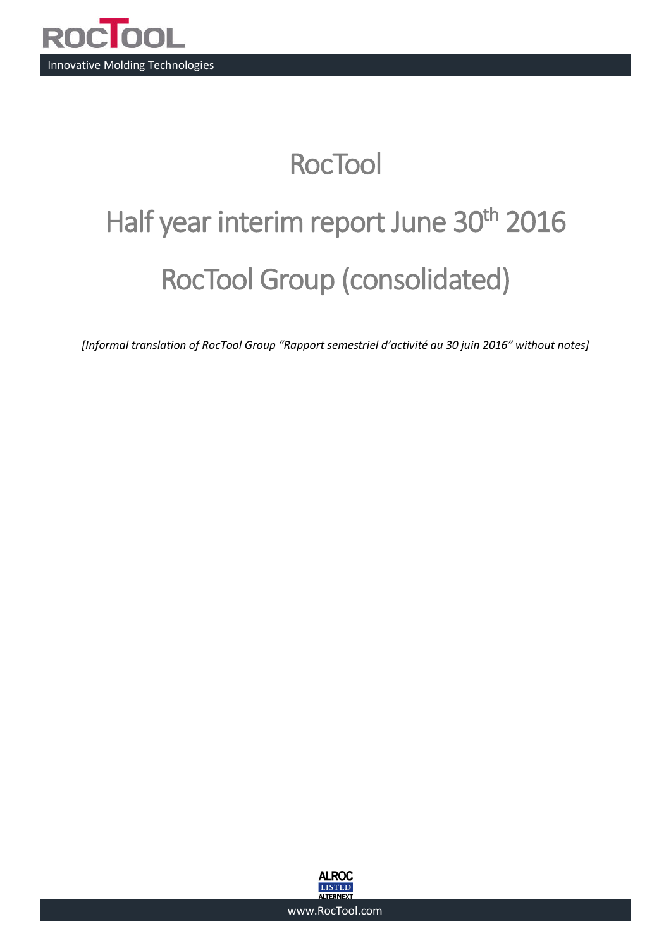

# **RocTool**

# Half year interim report June 30<sup>th</sup> 2016 RocTool Group (consolidated)

*[Informal translation of RocTool Group "Rapport semestriel d'activité au 30 juin 2016" without notes]*



[www.RocTool.com](http://www.roctool.com/)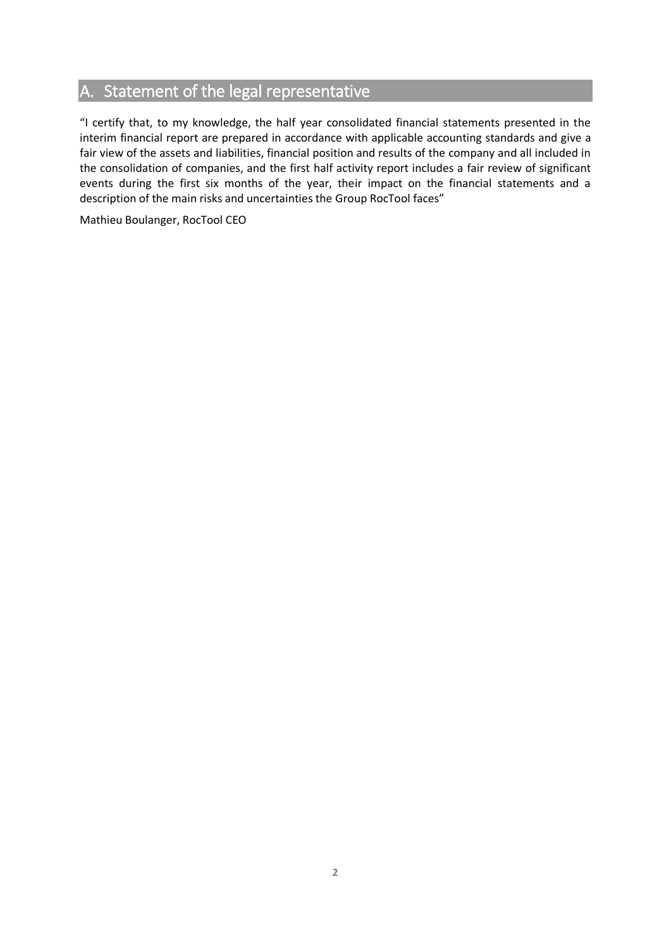## <span id="page-1-0"></span>A. Statement of the legal representative

"I certify that, to my knowledge, the half year consolidated financial statements presented in the interim financial report are prepared in accordance with applicable accounting standards and give a fair view of the assets and liabilities, financial position and results of the company and all included in the consolidation of companies, and the first half activity report includes a fair review of significant events during the first six months of the year, their impact on the financial statements and a description of the main risks and uncertainties the Group RocTool faces"

Mathieu Boulanger, RocTool CEO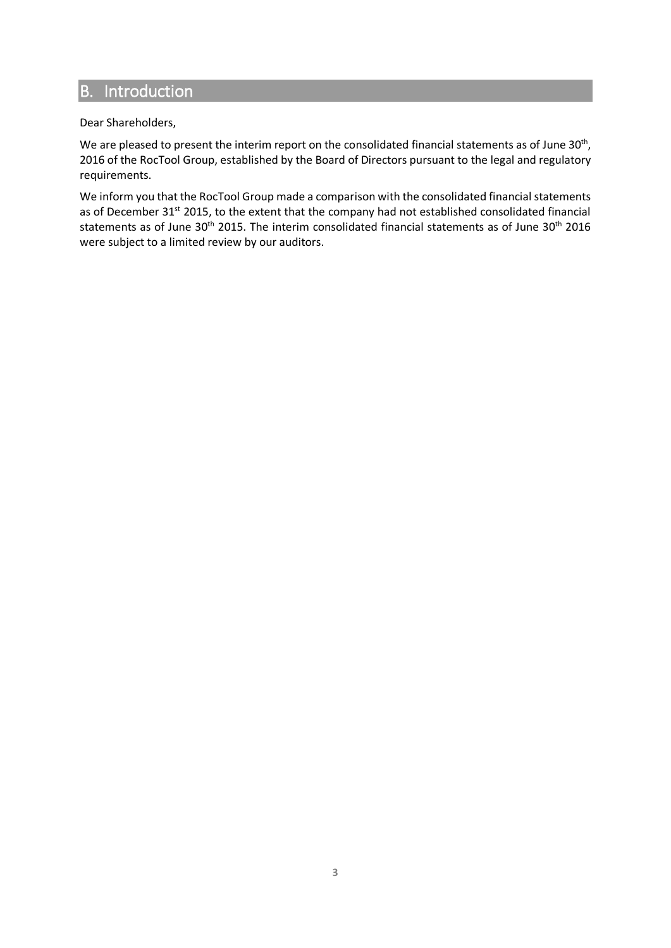## <span id="page-2-0"></span>B. Introduction

Dear Shareholders,

We are pleased to present the interim report on the consolidated financial statements as of June 30<sup>th</sup>, 2016 of the RocTool Group, established by the Board of Directors pursuant to the legal and regulatory requirements.

We inform you that the RocTool Group made a comparison with the consolidated financial statements as of December 31<sup>st</sup> 2015, to the extent that the company had not established consolidated financial statements as of June 30<sup>th</sup> 2015. The interim consolidated financial statements as of June 30<sup>th</sup> 2016 were subject to a limited review by our auditors.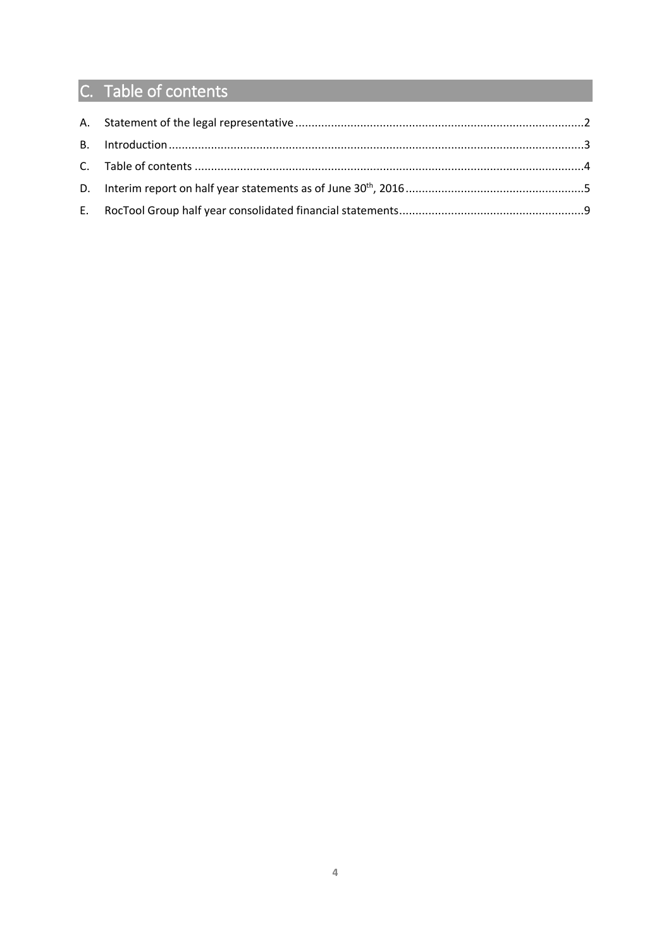# <span id="page-3-0"></span>C. Table of contents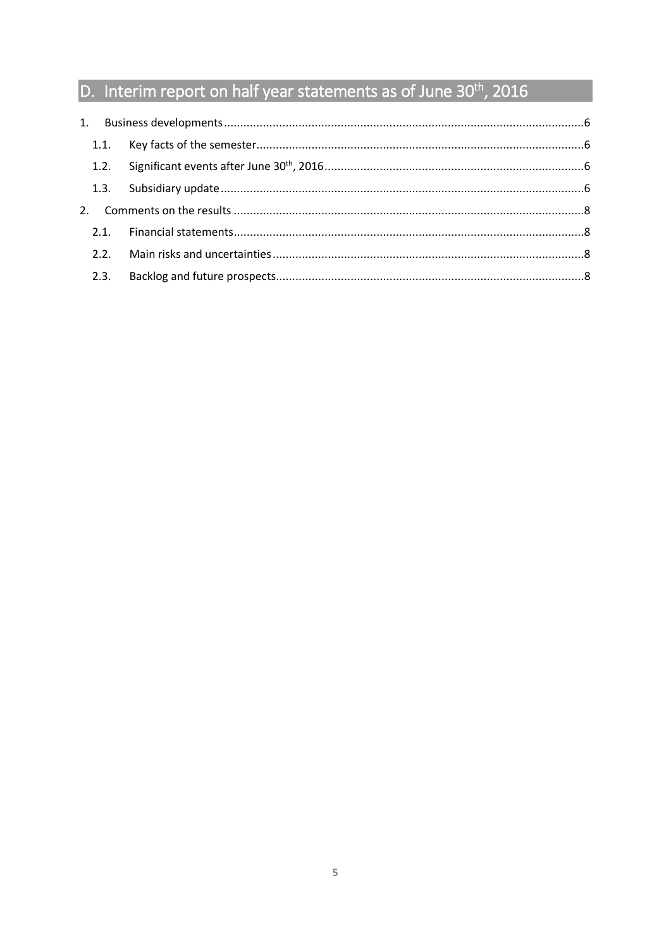# <span id="page-4-0"></span>D. Interim report on half year statements as of June 30<sup>th</sup>, 2016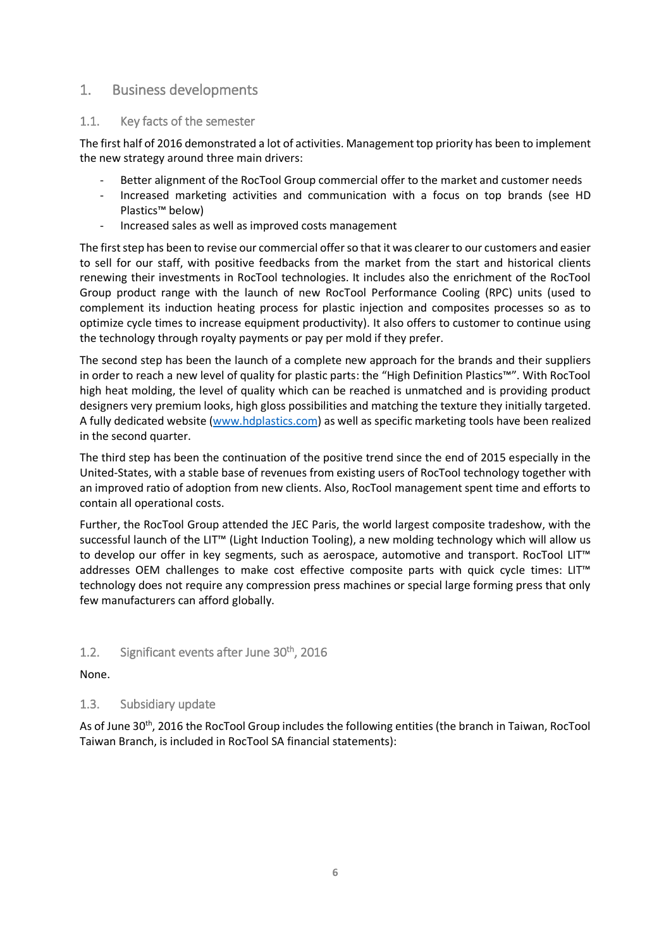#### <span id="page-5-0"></span>1. Business developments

#### <span id="page-5-1"></span>1.1. Key facts of the semester

The first half of 2016 demonstrated a lot of activities. Management top priority has been to implement the new strategy around three main drivers:

- Better alignment of the RocTool Group commercial offer to the market and customer needs
- Increased marketing activities and communication with a focus on top brands (see HD Plastics™ below)
- Increased sales as well as improved costs management

The first step has been to revise our commercial offer so that it was clearer to our customers and easier to sell for our staff, with positive feedbacks from the market from the start and historical clients renewing their investments in RocTool technologies. It includes also the enrichment of the RocTool Group product range with the launch of new RocTool Performance Cooling (RPC) units (used to complement its induction heating process for plastic injection and composites processes so as to optimize cycle times to increase equipment productivity). It also offers to customer to continue using the technology through royalty payments or pay per mold if they prefer.

The second step has been the launch of a complete new approach for the brands and their suppliers in order to reach a new level of quality for plastic parts: the "High Definition Plastics™". With RocTool high heat molding, the level of quality which can be reached is unmatched and is providing product designers very premium looks, high gloss possibilities and matching the texture they initially targeted. A fully dedicated website [\(www.hdplastics.com\)](http://www.hdplastics.com/) as well as specific marketing tools have been realized in the second quarter.

The third step has been the continuation of the positive trend since the end of 2015 especially in the United-States, with a stable base of revenues from existing users of RocTool technology together with an improved ratio of adoption from new clients. Also, RocTool management spent time and efforts to contain all operational costs.

Further, the RocTool Group attended the JEC Paris, the world largest composite tradeshow, with the successful launch of the LIT™ (Light Induction Tooling), a new molding technology which will allow us to develop our offer in key segments, such as aerospace, automotive and transport. RocTool LIT™ addresses OEM challenges to make cost effective composite parts with quick cycle times: LIT™ technology does not require any compression press machines or special large forming press that only few manufacturers can afford globally.

#### <span id="page-5-2"></span>1.2. Significant events after June 30<sup>th</sup>, 2016

None.

#### <span id="page-5-3"></span>1.3. Subsidiary update

As of June 30<sup>th</sup>, 2016 the RocTool Group includes the following entities (the branch in Taiwan, RocTool Taiwan Branch, is included in RocTool SA financial statements):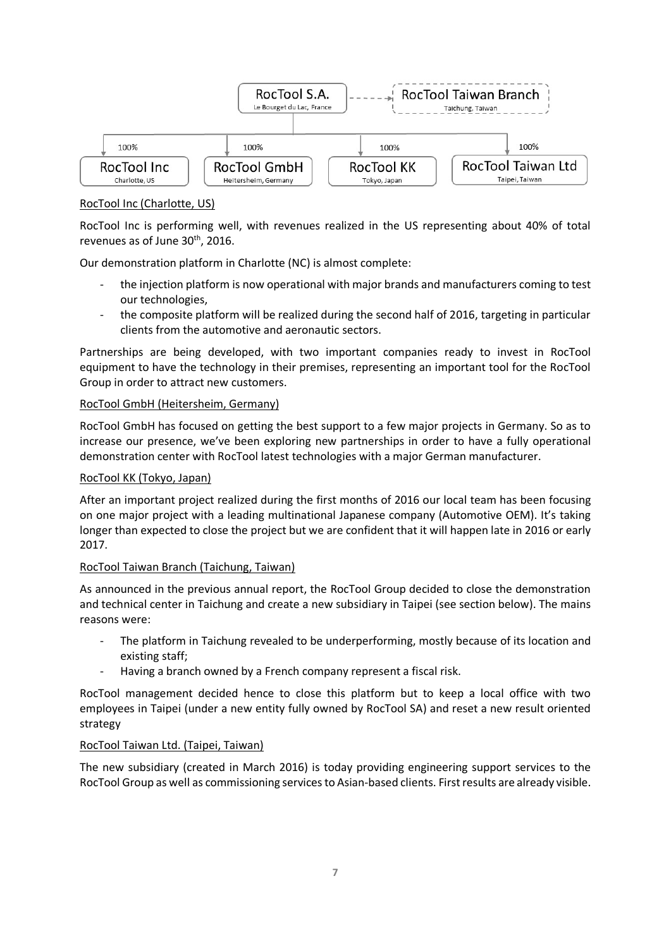

#### RocTool Inc (Charlotte, US)

RocTool Inc is performing well, with revenues realized in the US representing about 40% of total revenues as of June 30<sup>th</sup>, 2016.

Our demonstration platform in Charlotte (NC) is almost complete:

- the injection platform is now operational with major brands and manufacturers coming to test our technologies,
- the composite platform will be realized during the second half of 2016, targeting in particular clients from the automotive and aeronautic sectors.

Partnerships are being developed, with two important companies ready to invest in RocTool equipment to have the technology in their premises, representing an important tool for the RocTool Group in order to attract new customers.

#### RocTool GmbH (Heitersheim, Germany)

RocTool GmbH has focused on getting the best support to a few major projects in Germany. So as to increase our presence, we've been exploring new partnerships in order to have a fully operational demonstration center with RocTool latest technologies with a major German manufacturer.

#### RocTool KK (Tokyo, Japan)

After an important project realized during the first months of 2016 our local team has been focusing on one major project with a leading multinational Japanese company (Automotive OEM). It's taking longer than expected to close the project but we are confident that it will happen late in 2016 or early 2017.

#### RocTool Taiwan Branch (Taichung, Taiwan)

As announced in the previous annual report, the RocTool Group decided to close the demonstration and technical center in Taichung and create a new subsidiary in Taipei (see section below). The mains reasons were:

- The platform in Taichung revealed to be underperforming, mostly because of its location and existing staff;
- Having a branch owned by a French company represent a fiscal risk.

RocTool management decided hence to close this platform but to keep a local office with two employees in Taipei (under a new entity fully owned by RocTool SA) and reset a new result oriented strategy

#### RocTool Taiwan Ltd. (Taipei, Taiwan)

The new subsidiary (created in March 2016) is today providing engineering support services to the RocTool Group as well as commissioning services to Asian-based clients. First results are already visible.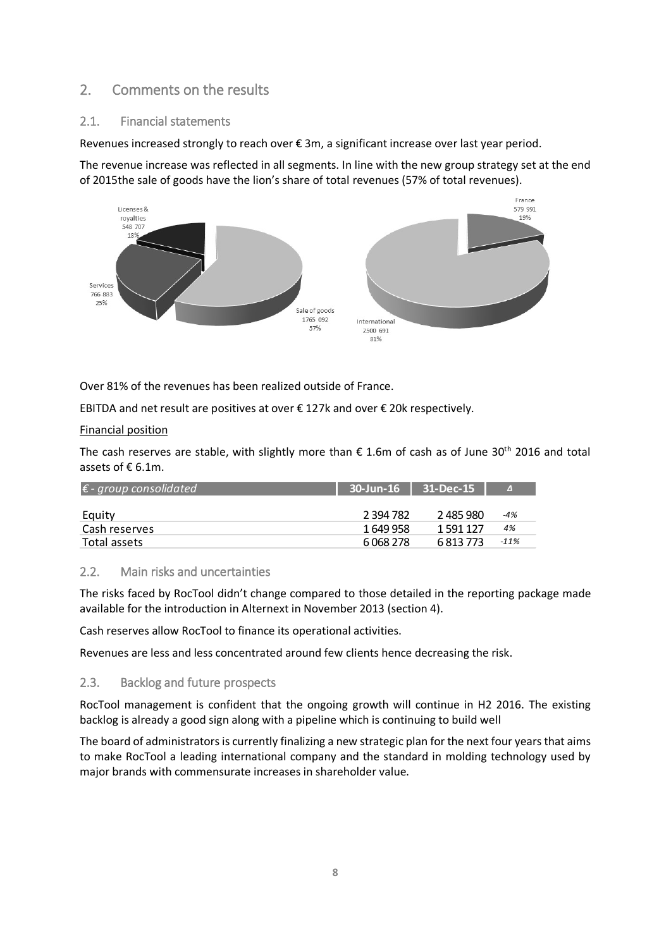#### <span id="page-7-0"></span>2. Comments on the results

#### <span id="page-7-1"></span>2.1. Financial statements

Revenues increased strongly to reach over  $\epsilon$  3m, a significant increase over last year period.

The revenue increase was reflected in all segments. In line with the new group strategy set at the end of 2015the sale of goods have the lion's share of total revenues (57% of total revenues).



Over 81% of the revenues has been realized outside of France.

EBITDA and net result are positives at over € 127k and over € 20k respectively.

#### Financial position

The cash reserves are stable, with slightly more than  $\epsilon$  1.6m of cash as of June 30<sup>th</sup> 2016 and total assets of € 6.1m.

| $\epsilon$ - group consolidated | . 30-Jun-16 <b>1</b> | $31 - Dec - 15$ | $\Delta$ |
|---------------------------------|----------------------|-----------------|----------|
| Equity                          | 2 394 782            | 2 485 980       | $-4%$    |
| Cash reserves                   | 1 649 958            | 1 591 127       | 4%       |
| Total assets                    | 6 0 68 2 7 8         | 6813773         | $-11%$   |

#### <span id="page-7-2"></span>2.2. Main risks and uncertainties

The risks faced by RocTool didn't change compared to those detailed in the reporting package made available for the introduction in Alternext in November 2013 (section 4).

Cash reserves allow RocTool to finance its operational activities.

Revenues are less and less concentrated around few clients hence decreasing the risk.

#### <span id="page-7-3"></span>2.3. Backlog and future prospects

RocTool management is confident that the ongoing growth will continue in H2 2016. The existing backlog is already a good sign along with a pipeline which is continuing to build well

The board of administrators is currently finalizing a new strategic plan for the next four years that aims to make RocTool a leading international company and the standard in molding technology used by major brands with commensurate increases in shareholder value.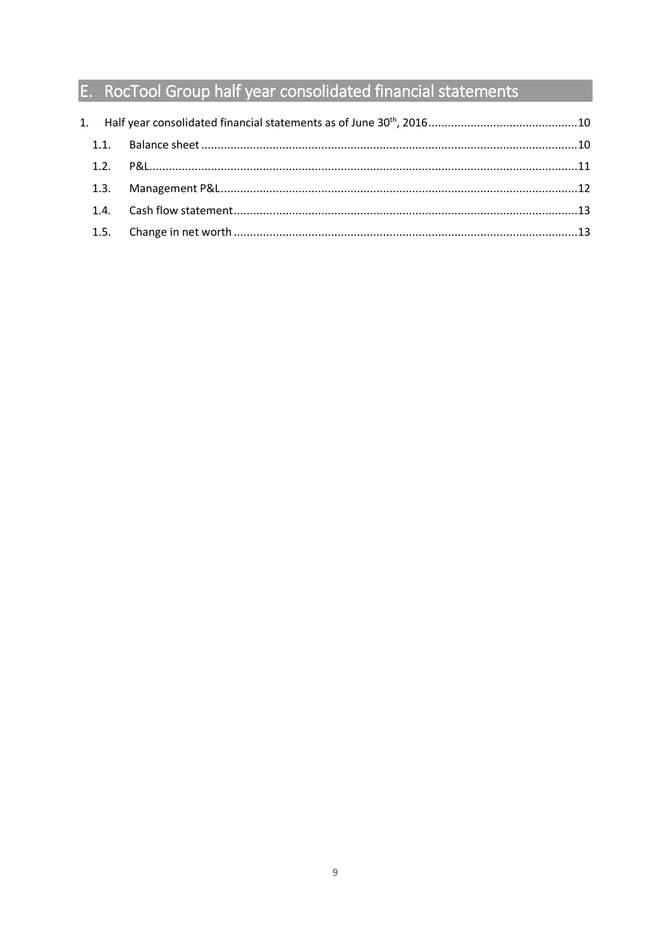# <span id="page-8-0"></span>E. RocTool Group half year consolidated financial statements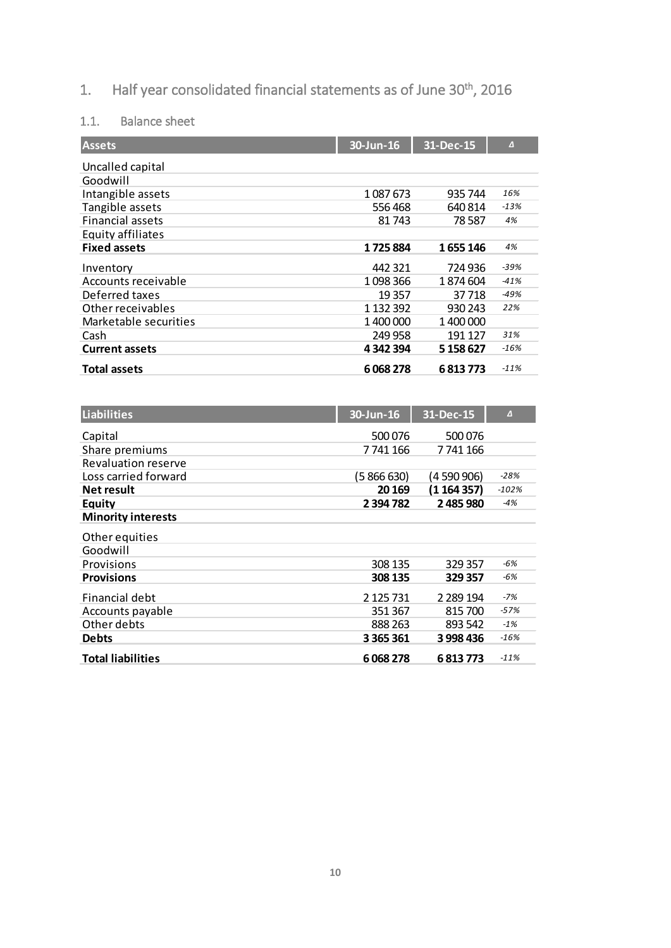## <span id="page-9-0"></span>1. Half year consolidated financial statements as of June 30<sup>th</sup>, 2016

## <span id="page-9-1"></span>1.1. Balance sheet

| <b>Assets</b>         | 30-Jun-16 | 31-Dec-15 | $\Delta$ |
|-----------------------|-----------|-----------|----------|
| Uncalled capital      |           |           |          |
| Goodwill              |           |           |          |
| Intangible assets     | 1087673   | 935 744   | 16%      |
| Tangible assets       | 556468    | 640 814   | $-13%$   |
| Financial assets      | 81 743    | 78 587    | 4%       |
| Equity affiliates     |           |           |          |
| <b>Fixed assets</b>   | 1725884   | 1655146   | 4%       |
| Inventory             | 442 321   | 724 936   | $-39%$   |
| Accounts receivable   | 1098366   | 1874604   | $-41%$   |
| Deferred taxes        | 19 3 57   | 37 718    | $-49%$   |
| Other receivables     | 1 132 392 | 930 243   | 22%      |
| Marketable securities | 1 400 000 | 1 400 000 |          |
| Cash                  | 249 958   | 191 127   | 31%      |
| <b>Current assets</b> | 4 342 394 | 5 158 627 | $-16%$   |
| <b>Total assets</b>   | 6068278   | 6813773   | $-11%$   |

| Liabilities               | 30-Jun-16     | 31-Dec-15   | $\Delta$ |
|---------------------------|---------------|-------------|----------|
| Capital                   | 500 076       | 500 076     |          |
| Share premiums            | 7 741 166     | 7741166     |          |
| Revaluation reserve       |               |             |          |
| Loss carried forward      | (5 866 630)   | (4 590 906) | $-28%$   |
| <b>Net result</b>         | 20 169        | (1 164 357) | $-102%$  |
| Equity                    | 2 3 9 7 8 2   | 2485980     | $-4%$    |
| <b>Minority interests</b> |               |             |          |
| Other equities            |               |             |          |
| Goodwill                  |               |             |          |
| Provisions                | 308 135       | 329 357     | -6%      |
| <b>Provisions</b>         | 308 135       | 329 357     | -6%      |
| Financial debt            | 2 125 731     | 2 2 8 1 9 4 | $-7%$    |
| Accounts payable          | 351 367       | 815700      | $-57%$   |
| Other debts               | 888 263       | 893 542     | $-1%$    |
| <b>Debts</b>              | 3 3 6 5 3 6 1 | 3998436     | $-16%$   |
| Total liabilities         | 6 0 68 2 7 8  | 6813773     | $-11%$   |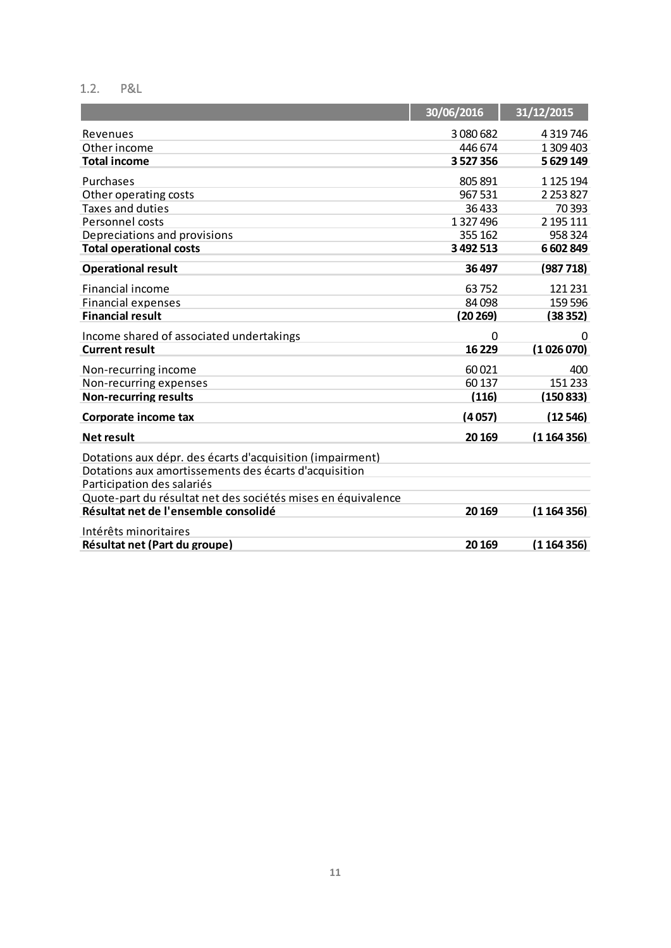#### <span id="page-10-0"></span>1.2. P&L

|                                                              | 30/06/2016     | 31/12/2015    |
|--------------------------------------------------------------|----------------|---------------|
| Revenues                                                     | 3 080 682      | 4 3 19 7 46   |
| Other income                                                 | 446 674        | 1 309 403     |
| <b>Total income</b>                                          | 3 5 2 7 3 5 6  | 5 629 149     |
| Purchases                                                    | 805 891        | 1 1 2 5 1 9 4 |
| Other operating costs                                        | 967 531        | 2 2 5 3 8 2 7 |
| Taxes and duties                                             | 36 433         | 70 393        |
| Personnel costs                                              | 1 3 2 7 4 9 6  | 2 195 111     |
| Depreciations and provisions                                 | 355 162        | 958 324       |
| <b>Total operational costs</b>                               | 3 492 513      | 6 602 849     |
| <b>Operational result</b>                                    | 36 497         | (987718)      |
| Financial income                                             | 63752          | 121 231       |
| <b>Financial expenses</b>                                    | 84 098         | 159 596       |
| <b>Financial result</b>                                      | (20269)        | (38352)       |
| Income shared of associated undertakings                     | $\overline{0}$ | $\Omega$      |
| <b>Current result</b>                                        | 16 229         | (1026070)     |
| Non-recurring income                                         | 60021          | 400           |
| Non-recurring expenses                                       | 60 137         | 151 233       |
| <b>Non-recurring results</b>                                 | (116)          | (150 833)     |
| Corporate income tax                                         | (4057)         | (12546)       |
| <b>Net result</b>                                            | 20 169         | (1164356)     |
| Dotations aux dépr. des écarts d'acquisition (impairment)    |                |               |
| Dotations aux amortissements des écarts d'acquisition        |                |               |
| Participation des salariés                                   |                |               |
| Quote-part du résultat net des sociétés mises en équivalence |                |               |
| Résultat net de l'ensemble consolidé                         | 20 169         | (1164356)     |
| Intérêts minoritaires                                        |                |               |
| Résultat net (Part du groupe)                                | 20 169         | (1164356)     |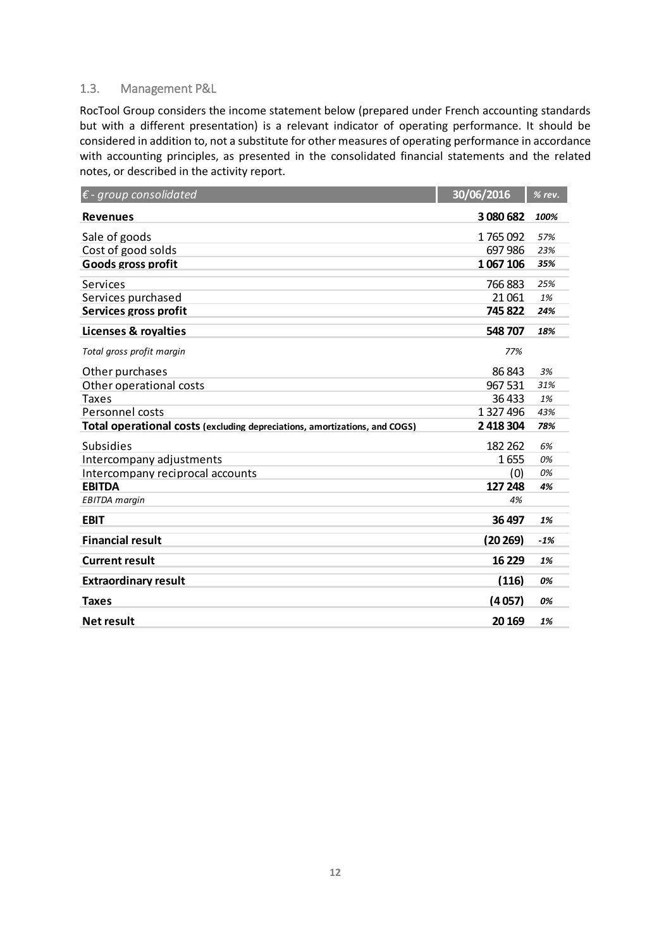#### <span id="page-11-0"></span>1.3. Management P&L

RocTool Group considers the income statement below (prepared under French accounting standards but with a different presentation) is a relevant indicator of operating performance. It should be considered in addition to, not a substitute for other measures of operating performance in accordance with accounting principles, as presented in the consolidated financial statements and the related notes, or described in the activity report.

| $\epsilon$ - group consolidated                                            | 30/06/2016  | % rev. |
|----------------------------------------------------------------------------|-------------|--------|
| <b>Revenues</b>                                                            | 3 080 682   | 100%   |
| Sale of goods                                                              | 1765092     | 57%    |
| Cost of good solds                                                         | 697 986     | 23%    |
| Goods gross profit                                                         | 1067106     | 35%    |
| Services                                                                   | 766883      | 25%    |
| Services purchased                                                         | 21 0 61     | 1%     |
| Services gross profit                                                      | 745 822     | 24%    |
| <b>Licenses &amp; royalties</b>                                            | 548707      | 18%    |
| Total gross profit margin                                                  | 77%         |        |
| Other purchases                                                            | 86 843      | 3%     |
| Other operational costs                                                    | 967 531     | 31%    |
| <b>Taxes</b>                                                               | 36 433      | 1%     |
| Personnel costs                                                            | 1 327 496   | 43%    |
| Total operational costs (excluding depreciations, amortizations, and COGS) | 2 4 18 3 04 | 78%    |
| <b>Subsidies</b>                                                           | 182 262     | 6%     |
| Intercompany adjustments                                                   | 1655        | 0%     |
| Intercompany reciprocal accounts                                           | (0)         | 0%     |
| <b>EBITDA</b>                                                              | 127 248     | 4%     |
| <b>EBITDA</b> margin                                                       | 4%          |        |
| <b>EBIT</b>                                                                | 36 497      | 1%     |
| <b>Financial result</b>                                                    | (20269)     | $-1%$  |
| <b>Current result</b>                                                      | 16 2 29     | 1%     |
| <b>Extraordinary result</b>                                                | (116)       | 0%     |
| <b>Taxes</b>                                                               | (4057)      | 0%     |
| <b>Net result</b>                                                          | 20 169      | 1%     |